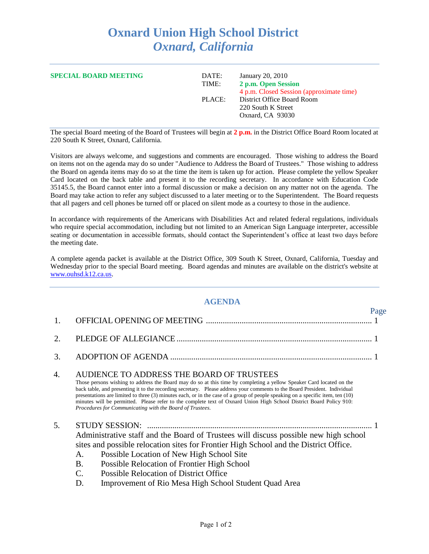## **Oxnard Union High School District** *Oxnard, California*

| <b>SPECIAL BOARD MEETING</b> | DATE:<br>TIME: | January 20, 2010<br>2 p.m. Open Session<br>4 p.m. Closed Session (approximate time) |
|------------------------------|----------------|-------------------------------------------------------------------------------------|
|                              | PLACE:         | District Office Board Room<br>220 South K Street<br>Oxnard, CA 93030                |

The special Board meeting of the Board of Trustees will begin at **2 p.m.** in the District Office Board Room located at 220 South K Street, Oxnard, California.

Visitors are always welcome, and suggestions and comments are encouraged. Those wishing to address the Board on items not on the agenda may do so under "Audience to Address the Board of Trustees." Those wishing to address the Board on agenda items may do so at the time the item is taken up for action. Please complete the yellow Speaker Card located on the back table and present it to the recording secretary. In accordance with Education Code 35145.5, the Board cannot enter into a formal discussion or make a decision on any matter not on the agenda. The Board may take action to refer any subject discussed to a later meeting or to the Superintendent. The Board requests that all pagers and cell phones be turned off or placed on silent mode as a courtesy to those in the audience.

In accordance with requirements of the Americans with Disabilities Act and related federal regulations, individuals who require special accommodation, including but not limited to an American Sign Language interpreter, accessible seating or documentation in accessible formats, should contact the Superintendent's office at least two days before the meeting date.

A complete agenda packet is available at the District Office, 309 South K Street, Oxnard, California, Tuesday and Wednesday prior to the special Board meeting. Board agendas and minutes are available on the district's website at [www.ouhsd.k12.ca.us.](http://www.ouhsd.k12.ca.us/)

## **AGENDA**

Page

| 1. |                                         |                                                                                                                                                                                                                                                                                                                                                                                                                                                                                                                                                                                                                     |  |
|----|-----------------------------------------|---------------------------------------------------------------------------------------------------------------------------------------------------------------------------------------------------------------------------------------------------------------------------------------------------------------------------------------------------------------------------------------------------------------------------------------------------------------------------------------------------------------------------------------------------------------------------------------------------------------------|--|
| 2. |                                         |                                                                                                                                                                                                                                                                                                                                                                                                                                                                                                                                                                                                                     |  |
| 3. |                                         |                                                                                                                                                                                                                                                                                                                                                                                                                                                                                                                                                                                                                     |  |
| 4. |                                         | AUDIENCE TO ADDRESS THE BOARD OF TRUSTEES<br>Those persons wishing to address the Board may do so at this time by completing a yellow Speaker Card located on the<br>back table, and presenting it to the recording secretary. Please address your comments to the Board President. Individual<br>presentations are limited to three (3) minutes each, or in the case of a group of people speaking on a specific item, ten (10)<br>minutes will be permitted. Please refer to the complete text of Oxnard Union High School District Board Policy 910:<br>Procedures for Communicating with the Board of Trustees. |  |
| 5. | A.<br><b>B.</b><br>$\mathbf{C}$ .<br>D. | Administrative staff and the Board of Trustees will discuss possible new high school<br>sites and possible relocation sites for Frontier High School and the District Office.<br>Possible Location of New High School Site<br>Possible Relocation of Frontier High School<br><b>Possible Relocation of District Office</b><br>Improvement of Rio Mesa High School Student Quad Area                                                                                                                                                                                                                                 |  |